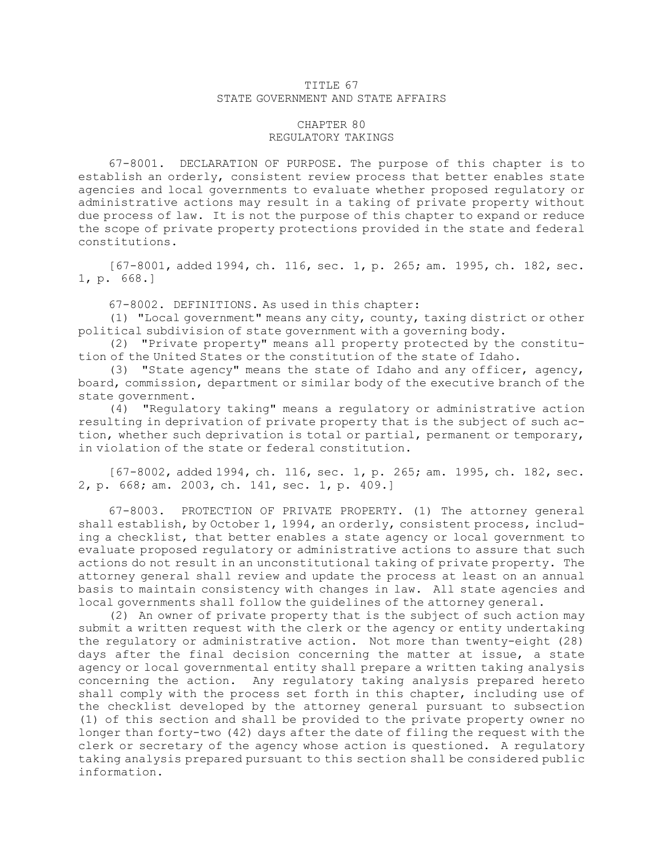## TITLE 67 STATE GOVERNMENT AND STATE AFFAIRS

## CHAPTER 80 REGULATORY TAKINGS

67-8001. DECLARATION OF PURPOSE. The purpose of this chapter is to establish an orderly, consistent review process that better enables state agencies and local governments to evaluate whether proposed regulatory or administrative actions may result in <sup>a</sup> taking of private property without due process of law. It is not the purpose of this chapter to expand or reduce the scope of private property protections provided in the state and federal constitutions.

[67-8001, added 1994, ch. 116, sec. 1, p. 265; am. 1995, ch. 182, sec. 1, p. 668.]

67-8002. DEFINITIONS. As used in this chapter:

(1) "Local government" means any city, county, taxing district or other political subdivision of state government with <sup>a</sup> governing body.

(2) "Private property" means all property protected by the constitution of the United States or the constitution of the state of Idaho.

(3) "State agency" means the state of Idaho and any officer, agency, board, commission, department or similar body of the executive branch of the state government.

(4) "Regulatory taking" means <sup>a</sup> regulatory or administrative action resulting in deprivation of private property that is the subject of such action, whether such deprivation is total or partial, permanent or temporary, in violation of the state or federal constitution.

[67-8002, added 1994, ch. 116, sec. 1, p. 265; am. 1995, ch. 182, sec. 2, p. 668; am. 2003, ch. 141, sec. 1, p. 409.]

67-8003. PROTECTION OF PRIVATE PROPERTY. (1) The attorney general shall establish, by October 1, 1994, an orderly, consistent process, including <sup>a</sup> checklist, that better enables <sup>a</sup> state agency or local government to evaluate proposed regulatory or administrative actions to assure that such actions do not result in an unconstitutional taking of private property. The attorney general shall review and update the process at least on an annual basis to maintain consistency with changes in law. All state agencies and local governments shall follow the guidelines of the attorney general.

(2) An owner of private property that is the subject of such action may submit <sup>a</sup> written request with the clerk or the agency or entity undertaking the regulatory or administrative action. Not more than twenty-eight (28) days after the final decision concerning the matter at issue, <sup>a</sup> state agency or local governmental entity shall prepare <sup>a</sup> written taking analysis concerning the action. Any regulatory taking analysis prepared hereto shall comply with the process set forth in this chapter, including use of the checklist developed by the attorney general pursuant to subsection (1) of this section and shall be provided to the private property owner no longer than forty-two (42) days after the date of filing the request with the clerk or secretary of the agency whose action is questioned. <sup>A</sup> regulatory taking analysis prepared pursuant to this section shall be considered public information.